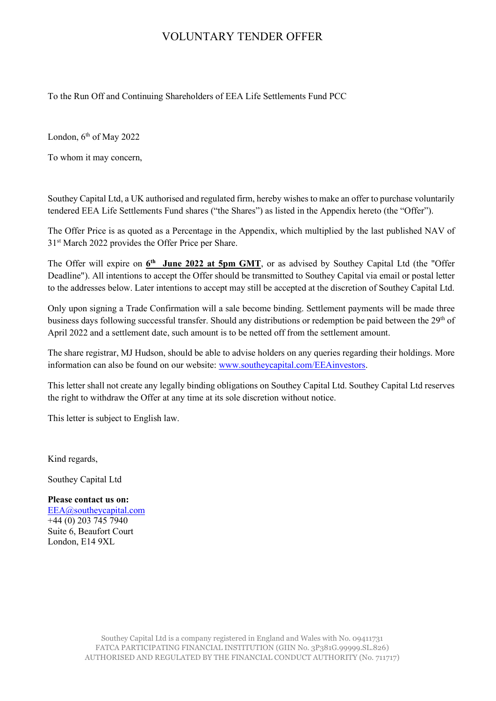## VOLUNTARY TENDER OFFER

To the Run Off and Continuing Shareholders of EEA Life Settlements Fund PCC

London, 6<sup>th</sup> of May 2022

To whom it may concern,

Southey Capital Ltd, a UK authorised and regulated firm, hereby wishes to make an offer to purchase voluntarily tendered EEA Life Settlements Fund shares ("the Shares") as listed in the Appendix hereto (the "Offer").

The Offer Price is as quoted as a Percentage in the Appendix, which multiplied by the last published NAV of 31<sup>st</sup> March 2022 provides the Offer Price per Share.

The Offer will expire on  $6<sup>th</sup>$  June 2022 at 5pm GMT, or as advised by Southey Capital Ltd (the "Offer Deadline"). All intentions to accept the Offer should be transmitted to Southey Capital via email or postal letter to the addresses below. Later intentions to accept may still be accepted at the discretion of Southey Capital Ltd.

Only upon signing a Trade Confirmation will a sale become binding. Settlement payments will be made three business days following successful transfer. Should any distributions or redemption be paid between the 29<sup>th</sup> of April 2022 and a settlement date, such amount is to be netted off from the settlement amount.

The share registrar, MJ Hudson, should be able to advise holders on any queries regarding their holdings. More information can also be found on our website: [www.southeycapital.com/EEAinvestors.](http://www.southeycapital.com/EEAinvestors)

This letter shall not create any legally binding obligations on Southey Capital Ltd. Southey Capital Ltd reserves the right to withdraw the Offer at any time at its sole discretion without notice.

This letter is subject to English law.

Kind regards,

Southey Capital Ltd

**Please contact us on:** [EEA@southeycapital.com](mailto:EEA@southeycapital.com) +44 (0) 203 745 7940 Suite 6, Beaufort Court London, E14 9XL